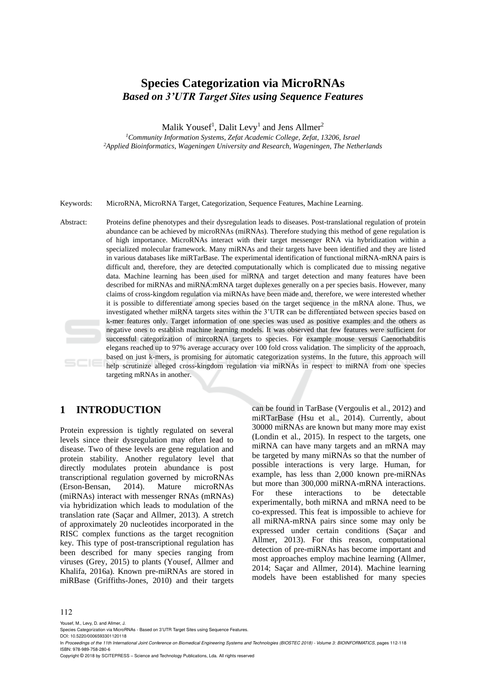# **Species Categorization via MicroRNAs** *Based on 3'UTR Target Sites using Sequence Features*

Malik Yousef<sup>1</sup>, Dalit Levy<sup>1</sup> and Jens Allmer<sup>2</sup>

*<sup>1</sup>Community Information Systems, Zefat Academic College, Zefat, 13206, Israel <sup>2</sup>Applied Bioinformatics, Wageningen University and Research, Wageningen, The Netherlands*

Keywords: MicroRNA, MicroRNA Target, Categorization, Sequence Features, Machine Learning.

Abstract: Proteins define phenotypes and their dysregulation leads to diseases. Post-translational regulation of protein abundance can be achieved by microRNAs (miRNAs). Therefore studying this method of gene regulation is of high importance. MicroRNAs interact with their target messenger RNA via hybridization within a specialized molecular framework. Many miRNAs and their targets have been identified and they are listed in various databases like miRTarBase. The experimental identification of functional miRNA-mRNA pairs is difficult and, therefore, they are detected computationally which is complicated due to missing negative data. Machine learning has been used for miRNA and target detection and many features have been described for miRNAs and miRNA:mRNA target duplexes generally on a per species basis. However, many claims of cross-kingdom regulation via miRNAs have been made and, therefore, we were interested whether it is possible to differentiate among species based on the target sequence in the mRNA alone. Thus, we investigated whether miRNA targets sites within the 3'UTR can be differentiated between species based on k-mer features only. Target information of one species was used as positive examples and the others as negative ones to establish machine learning models. It was observed that few features were sufficient for successful categorization of mircoRNA targets to species. For example mouse versus Caenorhabditis elegans reached up to 97% average accuracy over 100 fold cross validation. The simplicity of the approach, based on just k-mers, is promising for automatic categorization systems. In the future, this approach will help scrutinize alleged cross-kingdom regulation via miRNAs in respect to miRNA from one species targeting mRNAs in another.

## **1 INTRODUCTION**

Protein expression is tightly regulated on several levels since their dysregulation may often lead to disease. Two of these levels are gene regulation and protein stability. Another regulatory level that directly modulates protein abundance is post transcriptional regulation governed by microRNAs (Erson-Bensan, 2014). Mature microRNAs (miRNAs) interact with messenger RNAs (mRNAs) via hybridization which leads to modulation of the translation rate (Saçar and Allmer, 2013). A stretch of approximately 20 nucleotides incorporated in the RISC complex functions as the target recognition key. This type of post-transcriptional regulation has been described for many species ranging from viruses (Grey, 2015) to plants (Yousef, Allmer and Khalifa, 2016a). Known pre-miRNAs are stored in miRBase (Griffiths-Jones, 2010) and their targets

can be found in TarBase (Vergoulis et al., 2012) and miRTarBase (Hsu et al., 2014). Currently, about 30000 miRNAs are known but many more may exist (Londin et al., 2015). In respect to the targets, one miRNA can have many targets and an mRNA may be targeted by many miRNAs so that the number of possible interactions is very large. Human, for example, has less than 2,000 known pre-miRNAs but more than 300,000 miRNA-mRNA interactions. For these interactions to be detectable experimentally, both miRNA and mRNA need to be co-expressed. This feat is impossible to achieve for all miRNA-mRNA pairs since some may only be expressed under certain conditions (Saçar and Allmer, 2013). For this reason, computational detection of pre-miRNAs has become important and most approaches employ machine learning (Allmer, 2014; Saçar and Allmer, 2014). Machine learning models have been established for many species

Yousef, M., Levy, D. and Allmer, J.

In *Proceedings of the 11th International Joint Conference on Biomedical Engineering Systems and Technologies (BIOSTEC 2018) - Volume 3: BIOINFORMATICS*, pages 112-118 ISBN: 978-989-758-280-6

Copyright © 2018 by SCITEPRESS – Science and Technology Publications, Lda. All rights reserved

Species Categorization via MicroRNAs - Based on 3'UTR Target Sites using Sequence Features.

DOI: 10.5220/0006593301120118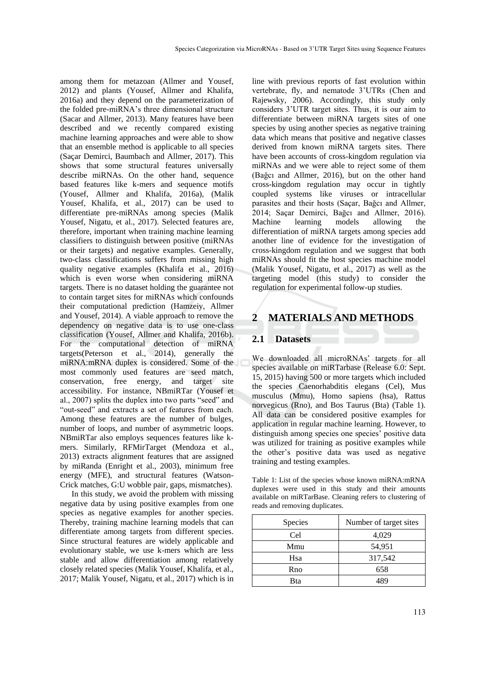among them for metazoan (Allmer and Yousef, 2012) and plants (Yousef, Allmer and Khalifa, 2016a) and they depend on the parameterization of the folded pre-miRNA's three dimensional structure (Sacar and Allmer, 2013). Many features have been described and we recently compared existing machine learning approaches and were able to show that an ensemble method is applicable to all species (Saçar Demirci, Baumbach and Allmer, 2017). This shows that some structural features universally describe miRNAs. On the other hand, sequence based features like k-mers and sequence motifs (Yousef, Allmer and Khalifa, 2016a), (Malik Yousef, Khalifa, et al., 2017) can be used to differentiate pre-miRNAs among species (Malik Yousef, Nigatu, et al., 2017). Selected features are, therefore, important when training machine learning classifiers to distinguish between positive (miRNAs or their targets) and negative examples. Generally, two-class classifications suffers from missing high quality negative examples (Khalifa et al., 2016) which is even worse when considering miRNA targets. There is no dataset holding the guarantee not to contain target sites for miRNAs which confounds their computational prediction (Hamzeiy, Allmer and Yousef, 2014). A viable approach to remove the dependency on negative data is to use one-class classification (Yousef, Allmer and Khalifa, 2016b). For the computational detection of miRNA targets(Peterson et al., 2014), generally the miRNA:mRNA duplex is considered. Some of the most commonly used features are seed match, conservation, free energy, and target site accessibility. For instance, NBmiRTar (Yousef et al., 2007) splits the duplex into two parts "seed" and "out-seed" and extracts a set of features from each. Among these features are the number of bulges, number of loops, and number of asymmetric loops. NBmiRTar also employs sequences features like kmers. Similarly, RFMirTarget (Mendoza et al., 2013) extracts alignment features that are assigned by miRanda (Enright et al., 2003), minimum free energy (MFE), and structural features (Watson-Crick matches, G:U wobble pair, gaps, mismatches).

In this study, we avoid the problem with missing negative data by using positive examples from one species as negative examples for another species. Thereby, training machine learning models that can differentiate among targets from different species. Since structural features are widely applicable and evolutionary stable, we use k-mers which are less stable and allow differentiation among relatively closely related species (Malik Yousef, Khalifa, et al., 2017; Malik Yousef, Nigatu, et al., 2017) which is in

line with previous reports of fast evolution within vertebrate, fly, and nematode 3'UTRs (Chen and Rajewsky, 2006). Accordingly, this study only considers 3'UTR target sites. Thus, it is our aim to differentiate between miRNA targets sites of one species by using another species as negative training data which means that positive and negative classes derived from known miRNA targets sites. There have been accounts of cross-kingdom regulation via miRNAs and we were able to reject some of them (Bağcı and Allmer, 2016), but on the other hand cross-kingdom regulation may occur in tightly coupled systems like viruses or intracellular parasites and their hosts (Saçar, Bağcı and Allmer, 2014; Saçar Demirci, Bağcı and Allmer, 2016). Machine learning models allowing the differentiation of miRNA targets among species add another line of evidence for the investigation of cross-kingdom regulation and we suggest that both miRNAs should fit the host species machine model (Malik Yousef, Nigatu, et al., 2017) as well as the targeting model (this study) to consider the regulation for experimental follow-up studies.

# **2 MATERIALS AND METHODS**

### **2.1 Datasets**

We downloaded all microRNAs' targets for all species available on miRTarbase (Release 6.0: Sept. 15, 2015) having 500 or more targets which included the species Caenorhabditis elegans (Cel), Mus musculus (Mmu), Homo sapiens (hsa), Rattus norvegicus (Rno), and Bos Taurus (Bta) (Table 1). All data can be considered positive examples for application in regular machine learning. However, to distinguish among species one species' positive data was utilized for training as positive examples while the other's positive data was used as negative training and testing examples.

Table 1: List of the species whose known miRNA:mRNA duplexes were used in this study and their amounts available on miRTarBase. Cleaning refers to clustering of reads and removing duplicates.

| Species | Number of target sites |
|---------|------------------------|
| Cel     | 4,029                  |
| Mmu     | 54,951                 |
| Hsa     | 317,542                |
| Rno     | 658                    |
| Bta     |                        |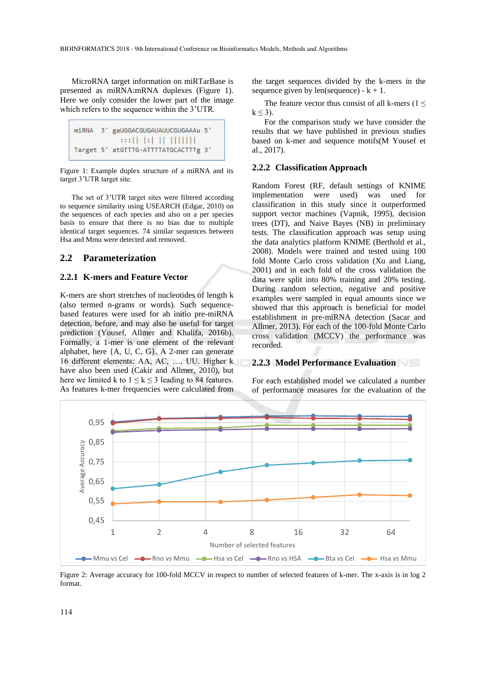MicroRNA target information on miRTarBase is presented as miRNA:mRNA duplexes (Figure 1). Here we only consider the lower part of the image which refers to the sequence within the 3'UTR.

```
3' gaUGGACGUGAUAUUCGUGAAAu 5'
miRNA
                           \frac{1}{2} \frac{1}{2} \frac{1}{2} \frac{1}{2} \frac{1}{2} \frac{1}{2} \frac{1}{2} \frac{1}{2} \frac{1}{2} \frac{1}{2} \frac{1}{2}Target 5' atGTTTG-ATTTTATGCACTTTg 3'
```
Figure 1: Example duplex structure of a miRNA and its target 3'UTR target site.

The set of 3'UTR target sites were filtered according to sequence similarity using USEARCH (Edgar, 2010) on the sequences of each species and also on a per species basis to ensure that there is no bias due to multiple identical target sequences. 74 similar sequences between Hsa and Mmu were detected and removed.

#### **2.2 Parameterization**

#### **2.2.1 K-mers and Feature Vector**

K-mers are short stretches of nucleotides of length k (also termed n-grams or words). Such sequencebased features were used for ab initio pre-miRNA detection, before, and may also be useful for target prediction (Yousef, Allmer and Khalifa, 2016b). Formally, a 1-mer is one element of the relevant alphabet, here {A, U, C, G}. A 2-mer can generate 16 different elements: AA, AC, …, UU. Higher k have also been used (Cakir and Allmer, 2010), but here we limited k to  $1 \le k \le 3$  leading to 84 features. As features k-mer frequencies were calculated from

the target sequences divided by the k-mers in the sequence given by len(sequence) -  $k + 1$ .

The feature vector thus consist of all k-mers ( $1 \le$  $k < 3$ ).

For the comparison study we have consider the results that we have published in previous studies based on k-mer and sequence motifs(M Yousef et al., 2017).

#### **2.2.2 Classification Approach**

Random Forest (RF, default settings of KNIME implementation were used) was used for classification in this study since it outperformed support vector machines (Vapnik, 1995), decision trees (DT), and Naive Bayes (NB) in preliminary tests. The classification approach was setup using the data analytics platform KNIME (Berthold et al., 2008). Models were trained and tested using 100 fold Monte Carlo cross validation (Xu and Liang, 2001) and in each fold of the cross validation the data were split into 80% training and 20% testing. During random selection, negative and positive examples were sampled in equal amounts since we showed that this approach is beneficial for model establishment in pre-miRNA detection (Sacar and Allmer, 2013). For each of the 100-fold Monte Carlo cross validation (MCCV) the performance was recorded.

### **2.2.3 Model Performance Evaluation**

For each established model we calculated a number of performance measures for the evaluation of the



Figure 2: Average accuracy for 100-fold MCCV in respect to number of selected features of k-mer. The x-axis is in log 2 format.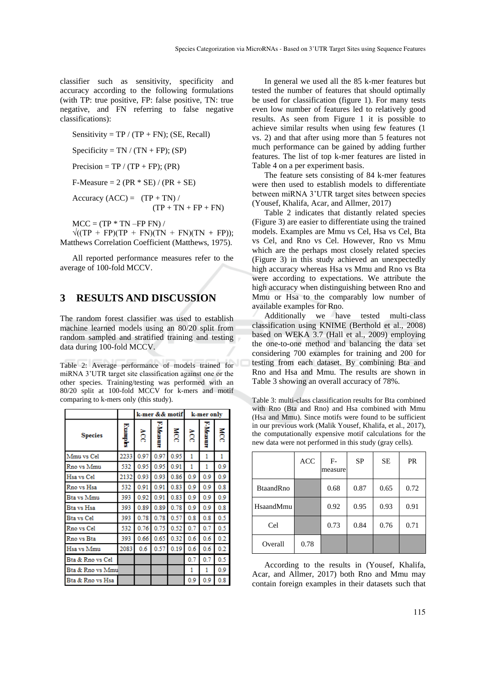classifier such as sensitivity, specificity and accuracy according to the following formulations (with TP: true positive, FP: false positive, TN: true negative, and FN referring to false negative classifications):

Sensitivity =  $TP / (TP + FN)$ ; (SE, Recall)

Specificity =  $TN / (TN + FP)$ ; (SP)

Precision = TP / (TP + FP); (PR)

F-Measure = 2 (PR  $*$  SE) / (PR + SE)

Accuracy  $(ACC) = (TP + TN) /$  $(TP + TN + FP + FN)$ 

 $MCC = (TP * TN - FP FN) /$ 

 $\sqrt{(TP + FP)(TP + FN)(TN + FN)(TN + FP)}$ ; Matthews Correlation Coefficient (Matthews, 1975).

All reported performance measures refer to the average of 100-fold MCCV.

### **3 RESULTS AND DISCUSSION**

The random forest classifier was used to establish machine learned models using an 80/20 split from random sampled and stratified training and testing data during 100-fold MCCV.

Table 2: Average performance of models trained for miRNA 3'UTR target site classification against one or the other species. Training/testing was performed with an 80/20 split at 100-fold MCCV for k-mers and motif comparing to k-mers only (this study).

|                  |          |      |           | k-mer && motif | k-mer only |           |              |  |  |
|------------------|----------|------|-----------|----------------|------------|-----------|--------------|--|--|
| <b>Species</b>   | Examples | δç   | F-Measure | <b>NCC</b>     | Ř          | F-Measure | <b>NCC</b>   |  |  |
| Mmu vs Cel       | 2233     | 0.97 | 0.97      | 0.95           | 1          | 1         | $\mathbf{1}$ |  |  |
| Rno vs Mmu       | 532      | 0.95 | 0.95      | 0.91           | 1          | 1         | 0.9          |  |  |
| Hsa vs Cel       | 2132     | 0.93 | 0.93      | 0.86           | 0.9        | 0.9       | 0.9          |  |  |
| Rno vs Hsa       | 532      | 0.91 | 0.91      | 0.83           | 0.9        | 0.9       | 0.8          |  |  |
| Bta vs Mmu       | 393      | 0.92 | 0.91      | 0.83           | 0.9        | 0.9       | 0.9          |  |  |
| Bta vs Hsa       | 393      | 0.89 | 0.89      | 0.78           | 0.9        | 0.9       | 0.8          |  |  |
| Bta vs Cel       | 393      | 0.78 | 0.78      | 0.57           | 0.8        | 0.8       | 0.5          |  |  |
| Rno vs Cel       | 532      | 0.76 | 0.75      | 0.52           | 0.7        | 0.7       | 0.5          |  |  |
| Rno vs Bta       | 393      | 0.66 | 0.65      | 0.32           | 0.6        | 0.6       | 0.2          |  |  |
| Hsa vs Mmu       | 2083     | 0.6  | 0.57      | 0.19           | 0.6        | 0.6       | 0.2          |  |  |
| Bta & Rno vs Cel |          |      |           |                | 0.7        | 0.7       | 0.5          |  |  |
| Bta & Rno vs Mmu |          |      |           |                | 1          | 1         | 0.9          |  |  |
| Bta & Rno vs Hsa |          |      |           |                | 0.9        | 0.9       | 0.8          |  |  |

In general we used all the 85 k-mer features but tested the number of features that should optimally be used for classification (figure 1). For many tests even low number of features led to relatively good results. As seen from Figure 1 it is possible to achieve similar results when using few features (1 vs. 2) and that after using more than 5 features not much performance can be gained by adding further features. The list of top k-mer features are listed in Table 4 on a per experiment basis.

The feature sets consisting of 84 k-mer features were then used to establish models to differentiate between miRNA 3'UTR target sites between species (Yousef, Khalifa, Acar, and Allmer, 2017)

Table 2 indicates that distantly related species (Figure 3) are easier to differentiate using the trained models. Examples are Mmu vs Cel, Hsa vs Cel, Bta vs Cel, and Rno vs Cel. However, Rno vs Mmu which are the perhaps most closely related species (Figure 3) in this study achieved an unexpectedly high accuracy whereas Hsa vs Mmu and Rno vs Bta were according to expectations. We attribute the high accuracy when distinguishing between Rno and Mmu or Hsa to the comparably low number of available examples for Rno.

Additionally we have tested multi-class classification using KNIME (Berthold et al., 2008) based on WEKA 3.7 (Hall et al., 2009) employing the one-to-one method and balancing the data set considering 700 examples for training and 200 for testing from each dataset. By combining Bta and Rno and Hsa and Mmu. The results are shown in Table 3 showing an overall accuracy of 78%.

Table 3: multi-class classification results for Bta combined with Rno (Bta and Rno) and Hsa combined with Mmu (Hsa and Mmu). Since motifs were found to be sufficient in our previous work (Malik Yousef, Khalifa, et al., 2017), the computationally expensive motif calculations for the new data were not performed in this study (gray cells).

|                  | <b>ACC</b> | $F-$<br>measure | <b>SP</b> | SЕ   | <b>PR</b> |
|------------------|------------|-----------------|-----------|------|-----------|
| <b>BtaandRno</b> |            | 0.68            | 0.87      | 0.65 | 0.72      |
| HsaandMmu        |            | 0.92            | 0.95      | 0.93 | 0.91      |
| Cel              |            | 0.73            | 0.84      | 0.76 | 0.71      |
| Overall          | 0.78       |                 |           |      |           |

According to the results in (Yousef, Khalifa, Acar, and Allmer, 2017) both Rno and Mmu may contain foreign examples in their datasets such that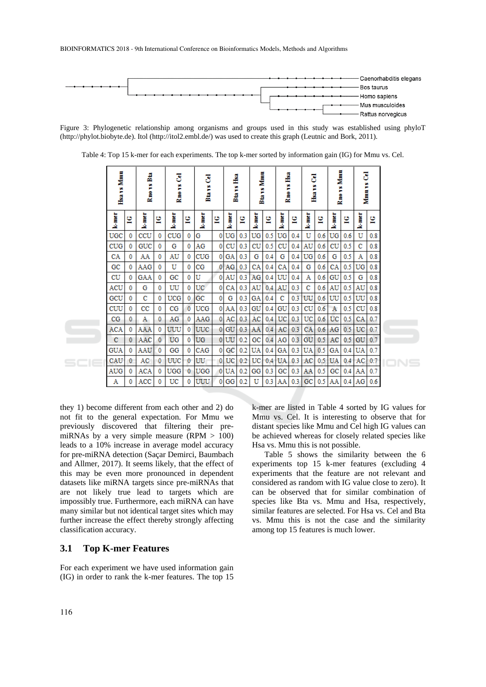

Figure 3: Phylogenetic relationship among organisms and groups used in this study was established using phyloT (http://phylot.biobyte.de). Itol (http://itol2.embl.de/) was used to create this graph (Leutnic and Bork, 2011).

| Hsa vs Mmu |   | 볿<br>Rmo vs. |             | 3<br>Rmo vs |              | 3<br>Burs   |                | .<br>Ha<br>ř<br>ġ |     | <b>Btavs</b> Mmu |     | å<br>ř<br>å |     | 3<br>Hsavs |     | Mmm<br>Rmo vs |               | 3<br>Mmm <sub>T8</sub> |          |  |
|------------|---|--------------|-------------|-------------|--------------|-------------|----------------|-------------------|-----|------------------|-----|-------------|-----|------------|-----|---------------|---------------|------------------------|----------|--|
| k-mer      | 먈 | k-mer        | υ<br>e      | k-mer       | 은            | k-mar       | 읩              | kmer              | 흽   | kmer             | 먈   | k-mer       | 먈   | kmer       | 멷   | kamar         | 읩             | <b>Lemmer</b>          | υ<br>e   |  |
| UGC        | 0 | CCU          | 0           | CUG         | 0            | G           | $\mathbf{0}$   | UG                | 0.3 | UG               | 0.5 | UG          | 0.4 | U          | 0.6 | UG            | 0.6           | U                      | 0.8      |  |
| CUG        | 0 | GUC          | 0           | G           | 0            | AG          | $\mathbf{0}$   | cu                | 0.3 | CU               | 0.5 | CU          | 0.4 | AU         | 0.6 | CU            | 0.5           | с                      | 0.8      |  |
| CA         | 0 | AA           | 0           | AU          | 0            | <b>CUG</b>  | $\overline{0}$ | GA                | 0.3 | G                | 0.4 | G           | 0.4 | UG         | 0.6 | G             | 0.5           | Α                      | 0.8      |  |
| GC         | 0 | AAG          | 0           | U           | 0            | CG          | $\mathbf{0}$   | AG                | 0.3 | CA               | 0.4 | CA          | 0.4 | G          | 0.6 | CA            | 0.5           | UG                     | 0.8      |  |
| CU         | 0 | GAA          | 0           | $_{\rm GC}$ | 0            | U           | $\mathbf{0}$   | AU                | 0.3 | AG               | 0.4 | UU          | 0.4 | Α          | 0.6 | GU            | 0.5           | G                      | 0.8      |  |
| ACU        | 0 | G            | 0           | UU          | 0            | UC          | $\mathbf 0$    | CА                | 0.3 | AU               | 0.4 | AU          | 0.3 | с          | 0.6 | AU            | 0.5           | AU                     | 0.8      |  |
| GCU        | 0 | с            | 0           | <b>UCG</b>  | 0            | $_{\rm GC}$ | $\mathbf{0}$   | G                 | 0.3 | GA               | 0.4 | c           | 0.3 | UU         | 0.6 | UU            | 0.5           | UU                     | 0.8      |  |
| CUU        | 0 | $_{\rm cc}$  | 0           | $_{\rm CG}$ | $\mathbf 0$  | UCG         | $\mathbf{0}$   | AA                | 0.3 | GU               | 0.4 | GU          | 0.3 | CU         | 0.6 | Α             | 0.5           | CU                     | 0.8      |  |
| CG         | 0 | Α            | 0           | AG          | 0            | AAG         | 0.             | AC                | 0.3 | AC               | 0.4 | UC          | 0.3 | UC         | 0.6 | UC            | $0.5 -$       | CA.                    | 0.7      |  |
| ACA        | 0 | AAA          | 0           | UUU         | $\mathbf{0}$ | UUC         | 01             | GU                | 0.3 | AA               | 0.4 | AC          | 0.3 | CA         | 0.6 | AG            | 0.5           | UC                     | $_{0.7}$ |  |
| C          | 0 | AAC          | $\mathbf 0$ | UG          | 0            | UG          | $\overline{0}$ | UU                | 0.2 | GC               | 0.4 | AG          | 0.3 | GU         | 0.5 | AC            | $0.5^{\circ}$ | GU                     | 0.7      |  |
| <b>GUA</b> | 0 | AAU          | 0           | GG          | 0            | CAG         | $\mathbf{0}$   | GC                | 0.2 | UA               | 0.4 | GA          | 0.3 | UA         | 0.5 | GА            | 0.4           | UA                     | 0.7      |  |
| CAU        | 0 | AC           | 0           | UUC         | 0            | UU          | $\mathbf{0}$   | UC                | 0.2 | UC               | 0.4 | UA          | 0.3 | AC         | 0.5 | UA            | 0.4           | AC                     | 0.7      |  |
| AUG        | 0 | ACA          | 0           | UGG         | $\bf{0}$     | UGG         | 0              | UA                | 0.2 | GG               | 0.3 | GC          | 0.3 | AA         | 0.5 | GC            | 0.4           | AA                     | 0.7      |  |
| Α          | 0 | ACC          |             | UC          | 0            | UUU         | $\mathbf{0}$   | GG                | 0.2 | U                | 0.3 | AA          | 0.3 | GC         | 0.5 | AA            | 0.4           | AG                     | 0.6      |  |

Table 4: Top 15 k-mer for each experiments. The top k-mer sorted by information gain (IG) for Mmu vs. Cel.

they 1) become different from each other and 2) do not fit to the general expectation. For Mmu we previously discovered that filtering their premiRNAs by a very simple measure (RPM  $> 100$ ) leads to a 10% increase in average model accuracy for pre-miRNA detection (Saçar Demirci, Baumbach and Allmer, 2017). It seems likely, that the effect of this may be even more pronounced in dependent datasets like miRNA targets since pre-miRNAs that are not likely true lead to targets which are impossibly true. Furthermore, each miRNA can have many similar but not identical target sites which may further increase the effect thereby strongly affecting classification accuracy.

#### **3.1 Top K-mer Features**

For each experiment we have used information gain (IG) in order to rank the k-mer features. The top 15 k-mer are listed in Table 4 sorted by IG values for Mmu vs. Cel. It is interesting to observe that for distant species like Mmu and Cel high IG values can be achieved whereas for closely related species like Hsa vs. Mmu this is not possible.

Table 5 shows the similarity between the 6 experiments top 15 k-mer features (excluding 4 experiments that the feature are not relevant and considered as random with IG value close to zero). It can be observed that for similar combination of species like Bta vs. Mmu and Hsa, respectively, similar features are selected. For Hsa vs. Cel and Bta vs. Mmu this is not the case and the similarity among top 15 features is much lower.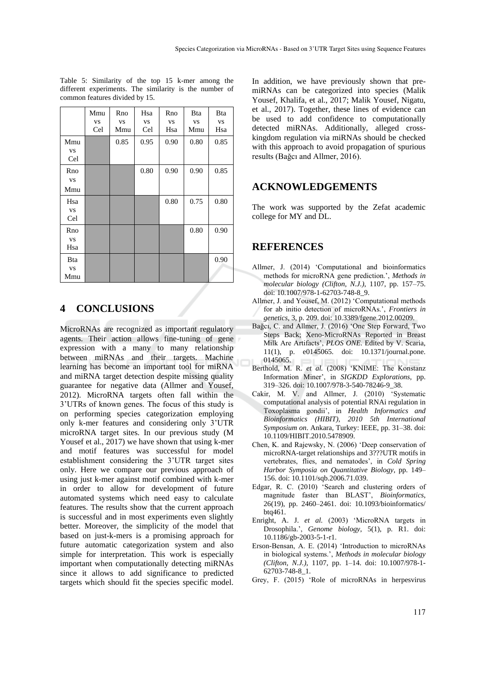|             | Mmu       | Rno       | Hsa       | Rno       | <b>Bta</b> | <b>Bta</b> |
|-------------|-----------|-----------|-----------|-----------|------------|------------|
|             | <b>VS</b> | <b>VS</b> | <b>VS</b> | <b>VS</b> | <b>VS</b>  | <b>VS</b>  |
|             | Cel       | Mmu       | Cel       | Hsa       | Mmu        | Hsa        |
| Mmu         |           | 0.85      | 0.95      | 0.90      | 0.80       | 0.85       |
| <b>VS</b>   |           |           |           |           |            |            |
| Cel         |           |           |           |           |            |            |
| Rno         |           |           | 0.80      | 0.90      | 0.90       | 0.85       |
| VS          |           |           |           |           |            |            |
| Mmu         |           |           |           |           |            |            |
| Hsa         |           |           |           | 0.80      | 0.75       | 0.80       |
| <b>VS</b>   |           |           |           |           |            |            |
| Cel         |           |           |           |           |            |            |
| Rno         |           |           |           |           | 0.80       | 0.90       |
| <b>VS</b>   |           |           |           |           |            |            |
| Hsa         |           |           |           |           |            |            |
| <b>B</b> ta |           |           |           |           |            | 0.90       |
| <b>VS</b>   |           |           |           |           |            |            |
| Mmu         |           |           |           |           |            |            |

Table 5: Similarity of the top 15 k-mer among the different experiments. The similarity is the number of common features divided by 15.

# **4 CONCLUSIONS**

MicroRNAs are recognized as important regulatory agents. Their action allows fine-tuning of gene expression with a many to many relationship between miRNAs and their targets. Machine learning has become an important tool for miRNA and miRNA target detection despite missing quality guarantee for negative data (Allmer and Yousef, 2012). MicroRNA targets often fall within the 3'UTRs of known genes. The focus of this study is on performing species categorization employing only k-mer features and considering only 3'UTR microRNA target sites. In our previous study (M Yousef et al., 2017) we have shown that using k-mer and motif features was successful for model establishment considering the 3'UTR target sites only. Here we compare our previous approach of using just k-mer against motif combined with k-mer in order to allow for development of future automated systems which need easy to calculate features. The results show that the current approach is successful and in most experiments even slightly better. Moreover, the simplicity of the model that based on just-k-mers is a promising approach for future automatic categorization system and also simple for interpretation. This work is especially important when computationally detecting miRNAs since it allows to add significance to predicted targets which should fit the species specific model.

In addition, we have previously shown that premiRNAs can be categorized into species (Malik Yousef, Khalifa, et al., 2017; Malik Yousef, Nigatu, et al., 2017). Together, these lines of evidence can be used to add confidence to computationally detected miRNAs. Additionally, alleged crosskingdom regulation via miRNAs should be checked with this approach to avoid propagation of spurious results (Bağcı and Allmer, 2016).

## **ACKNOWLEDGEMENTS**

The work was supported by the Zefat academic college for MY and DL.

## **REFERENCES**

- Allmer, J. (2014) 'Computational and bioinformatics methods for microRNA gene prediction.', *Methods in molecular biology (Clifton, N.J.)*, 1107, pp. 157–75. doi: 10.1007/978-1-62703-748-8\_9.
- Allmer, J. and Yousef, M. (2012) 'Computational methods for ab initio detection of microRNAs.', *Frontiers in genetics*, 3, p. 209. doi: 10.3389/fgene.2012.00209.
- Bağcı, C. and Allmer, J. (2016) 'One Step Forward, Two Steps Back; Xeno-MicroRNAs Reported in Breast Milk Are Artifacts', *PLOS ONE*. Edited by V. Scaria, 11(1), p. e0145065. doi: 10.1371/journal.pone. 0145065.
- Berthold, M. R. *et al.* (2008) 'KNIME: The Konstanz Information Miner', in *SIGKDD Explorations*, pp. 319–326. doi: 10.1007/978-3-540-78246-9\_38.
- Cakir, M. V. and Allmer, J. (2010) 'Systematic computational analysis of potential RNAi regulation in Toxoplasma gondii', in *Health Informatics and Bioinformatics (HIBIT), 2010 5th International Symposium on*. Ankara, Turkey: IEEE, pp. 31–38. doi: 10.1109/HIBIT.2010.5478909.
- Chen, K. and Rajewsky, N. (2006) 'Deep conservation of microRNA-target relationships and 3???UTR motifs in vertebrates, flies, and nematodes', in *Cold Spring Harbor Symposia on Quantitative Biology*, pp. 149– 156. doi: 10.1101/sqb.2006.71.039.
- Edgar, R. C. (2010) 'Search and clustering orders of magnitude faster than BLAST', *Bioinformatics*, 26(19), pp. 2460–2461. doi: 10.1093/bioinformatics/ btq461.
- Enright, A. J. *et al.* (2003) 'MicroRNA targets in Drosophila.', *Genome biology*, 5(1), p. R1. doi: 10.1186/gb-2003-5-1-r1.
- Erson-Bensan, A. E. (2014) 'Introduction to microRNAs in biological systems.', *Methods in molecular biology (Clifton, N.J.)*, 1107, pp. 1–14. doi: 10.1007/978-1- 62703-748-8\_1.
- Grey, F. (2015) 'Role of microRNAs in herpesvirus